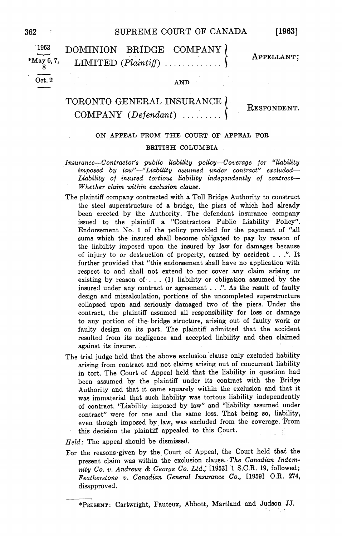## <sup>362</sup> SUPREME COURT OF CANADA

Oct. 2 AND

<sup>1963</sup> DOMINION BRIDGE COMPANY  $M_{8}^{3}$ , May 6, 7, LIMITED (*Plaintiff*).

APPELLANT;

# TORONTO GENERAL INSURANCE  $COMPANY$  (Defendant) .....

RESPONDENT

## ON APPEAL FROM THE COURT OF APPEAL FOR

### BRITISH COLUMBIA

 $Insurance—Contractor's public liability policy—Coverage for "liability"$  $imposed$  by law"—"Liability assumed under contract" excluded— Liability of insured tortious liability independently of contract Whether claim within exclusion clause.

- The plaintiff company contracted with a Toll Bridge Authority to construct the steel superstructure of a bridge, the piers of which had already been erected by the Authority. The defendant insurance company issued to the plaintiff a "Contractors Public Liability Policy". Endorsement No. 1 of the policy provided for the payment of "all sums which the insured shall become obligated to pay by reason of the liability imposed upon the insured by law for damages because of injury to or destruction of property, caused by accident  $\ldots$ .". It further provided that "this endorsement shall have no application with respect to and shall not extend to nor cover any claim arising or existing by reason of  $\dots$  (1) liability or obligation assumed by the insured under any contract or agreement  $\dots$ .". As the result of faulty design and miscalculation, portions of the uncompleted superstructure collapsed upon and seriously damaged two of the piers. Under the contract, the plaintiff assumed all responsibility for loss or damage to any portion of the bridge structure, arising out of faulty work or faulty design on its part. The plaintiff admitted that the accident resulted from its negligence and accepted liability and then claimed against its insurer
- The trial judge held that the above exclusion clause only excluded liability arising from contract and not claims arising out of concurrent liability in tort. The Court of Appeal held that the liability in question had been assumed by the plaintiff under its contract with the Bridge Authority and that it came squarely within the exclusion and that it was immaterial that such liability was tortous liability independently of contract. "Liability imposed by law" and "liability assumed under contract" were for one and the same loss. That being so, liability, even though imposed by law, was excluded from the coverage. From this decision the plaintiff appealed to this Court

 $Held$ : The appeal should be dismissed.

For the reasons given by the Court of Appeal, the Court held that the present claim was within the exclusion clause. The Canadian Indemnity Co. v. Andrews & George Co. Ltd., [1953] 1 S.C.R. 19, followed; Featherstone v. Canadian General Insurance Co., [1959] O.R. 274, disapproved

<sup>\*</sup>PRESENT: Cartwright, Fauteux, Abbott, Martland and Judson JJ.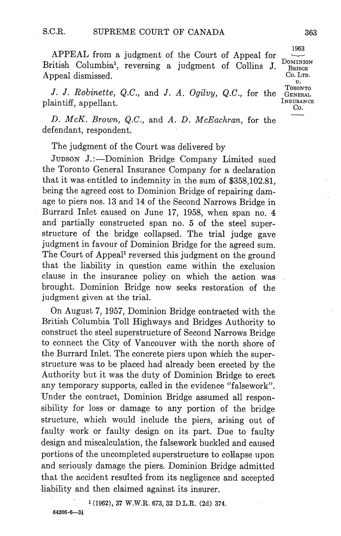APPEAL from a judgment of the Court of Appeal for  $\frac{1963}{\sqrt{100}}$ British Columbia<sup>1</sup>, reversing a judgment of Collins J.  $_{B_{RIDGE}}^{DOMINID}$ Appeal dismissed.  $\begin{array}{ccc} \text{Co. Lrp.} \end{array}$ 

J. J. Robinette, Q.C., and J. A. Ogilvy, Q.C., for the J. J. *Roomette*,  $Q.C.,$  and J. A. Uguvy,  $Q.C.,$  for the General plaintiff, appellant.<br>plaintiff, appellant.

D. McK. Brown, Q.C., and A. D. McEachran, for the defendant, respondent.

The judgment of the Court was delivered by

JUDSON J.:—Dominion Bridge Company Limited sued the Toronto General Insurance Company for a declaration that it was entitled to indemnity in the sum of \$358102.81 being the agreed cost to Dominion Bridge of repairing dam age to piers nos <sup>13</sup> and <sup>14</sup> of the Second Narrows Bridge in Burrard Inlet caused on June 17, 1958, when span no. 4 and partially constructed span no. 5 of the steel superstructure of the bridge collapsed. The trial judge gave judgment in favour of Dominion Bridge for the agreed sum The Court of Appeal<sup>1</sup> reversed this judgment on the ground that the liability in question came within the exclusion clause in the insurance policy on which the action was brought. Dominion Bridge now seeks restoration of the judgment given at the trial

On August 7, 1957, Dominion Bridge contracted with the British Columbia Toll Highways and Bridges Authority to construct the steel superstructure of Second Narrows Bridge to connect the City of Vancouver with the north shore of the Burrard Inlet. The concrete piers upon which the superstructure was to be placed had already been erected by the Authority but it was the duty of Dominion Bridge to erect any temporary supports, called in the evidence "falsework". Under the contract, Dominion Bridge assumed all responsibility for loss or damage to any portion of the bridge structure, which would include the piers, arising out of faulty work or faulty design on its part. Due to faulty design and miscalculation, the falsework buckled and caused portions of the uncompleted superstructure to collapse upon and seriously damage the piers Dominion Bridge admitted that the accident resulted from its negligence and accepted liability and then claimed against its insurer.

 $1(1962)$ , 37 W.W.R. 673, 32 D.L.R. (2d) 374.

**TORONTO**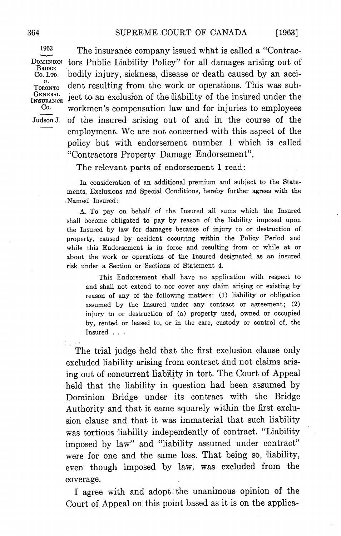$1963$  The insurance company issued what is called a "Contrac-DOMINION tors Public Liability Policy" for all damages arising out of BRIDGE BRIDGE<br>Co. LTD. bodily injury, sickness, disease or death caused by an acci-<br> $T_{\text{OBONTO}}^{\text{ON}}$  dent resulting from the work or operations. This was sub-<br>INSURANCE ject to an exclusion of the liability of the insured under  $N_{\text{SUTRANCE}}$  and  $N_{\text{SUT}}$  compensation law and for injuries to employees Judson J. of the insured arising out of and in the course of the employment. We are not concerned with this aspect of the policy but with endorsement number 1 which is called "Contractors Property Damage Endorsement".

The relevant parts of endorsement 1 read:

In consideration of an additional premium and subject to the State ments. Exclusions and Special Conditions, hereby further agrees with the Named Insured

To pay on behalf of the Insured all sums which the Insured shall become obligated to pay by reason of the liability imposed upon the Insured by law for damages because of injury to or destruction of property, caused by accident occurring within the Policy Period and while this Endorsement is in force and resulting from or while at or about the work or operations of the Insured designated as an insured risk under a Section or Sections of Statement 4.

This Endorsement shall have no application with respect to and shall not extend to nor cover any claim arising or existing by reason of any of the following matters: (1) liability or obligation assumed by the Insured under any contract or agreement; (2) injury to or destruction of (a) property used, owned or occupied by, rented or leased to, or in the care, custody or control of, the Insured . . .

The trial judge held that the first exclusion clause only excluded liability arising from contract and not claims aris ing out of concurrent liability in tort. The Court of Appeal held that the liability in question had been assumed by Dominion Bridge under its contract with the Bridge Authority and that it came squarely within the first exclu sion clause and that it was immaterial that such liability was tortious liability independently of contract. "Liability imposed by law" and "liability assumed under contract" were for one and the same loss. That being so, liability, even though imposed by law, was excluded from the coverage

agree with and adopt the unanimous opinion of the Court of Appeal on this point based as it is on the applica